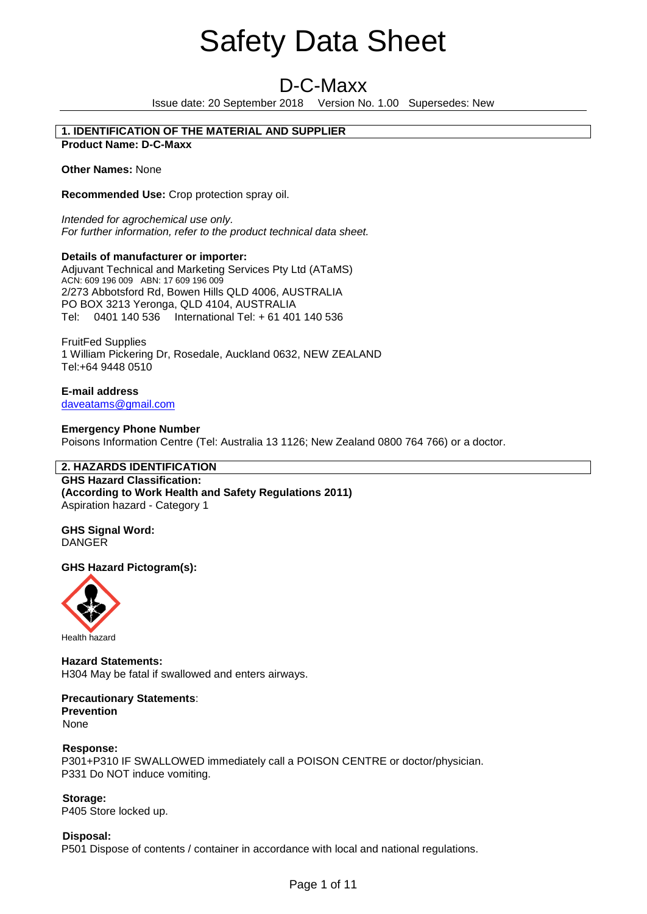# D-C-Maxx

Issue date: 20 September 2018 Version No. 1.00 Supersedes: New

### **1. IDENTIFICATION OF THE MATERIAL AND SUPPLIER Product Name: D-C-Maxx**

**Other Names:** None

**Recommended Use:** Crop protection spray oil.

*Intended for agrochemical use only. For further information, refer to the product technical data sheet.*

# **Details of manufacturer or importer:**

Adjuvant Technical and Marketing Services Pty Ltd (ATaMS) ACN: 609 196 009 ABN: 17 609 196 009 2/273 Abbotsford Rd, Bowen Hills QLD 4006, AUSTRALIA PO BOX 3213 Yeronga, QLD 4104, AUSTRALIA Tel: 0401 140 536 International Tel: + 61 401 140 536

FruitFed Supplies 1 William Pickering Dr, Rosedale, Auckland 0632, NEW ZEALAND Tel:+64 9448 0510

**E-mail address** daveatams@gmail.com

### **Emergency Phone Number** Poisons Information Centre (Tel: Australia 13 1126; New Zealand 0800 764 766) or a doctor.

# **2. HAZARDS IDENTIFICATION**

**GHS Hazard Classification: (According to Work Health and Safety Regulations 2011)** Aspiration hazard - Category 1

**GHS Signal Word:** DANGER

# **GHS Hazard Pictogram(s):**



Health hazard

**Hazard Statements:** H304 May be fatal if swallowed and enters airways.

**Precautionary Statements**: **Prevention**  None

## **Response:** P301+P310 IF SWALLOWED immediately call a POISON CENTRE or doctor/physician. P331 Do NOT induce vomiting.

**Storage:** P405 Store locked up.

**Disposal:** P501 Dispose of contents / container in accordance with local and national regulations.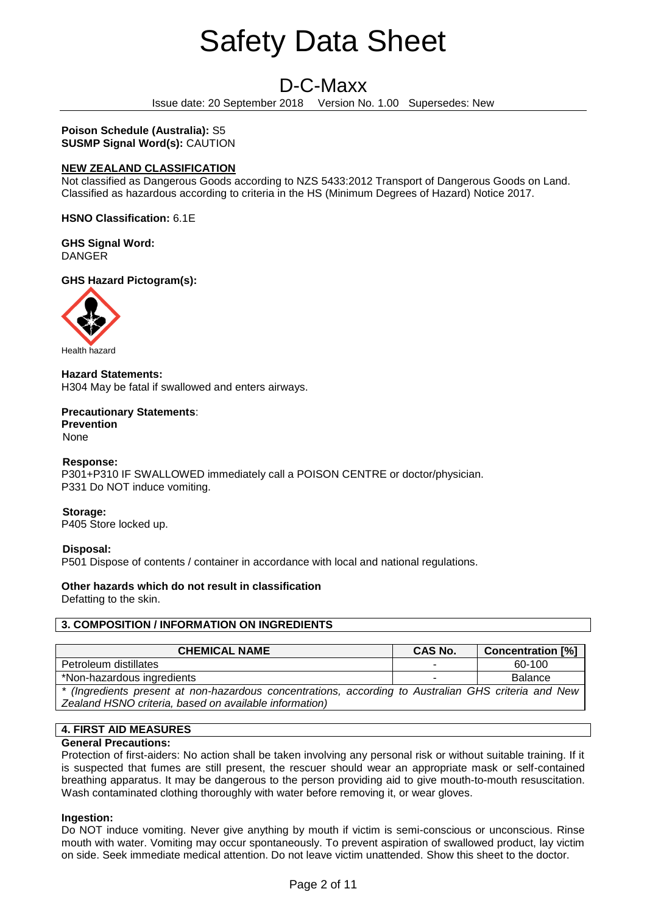# D-C-Maxx

Issue date: 20 September 2018 Version No. 1.00 Supersedes: New

**Poison Schedule (Australia):** S5 **SUSMP Signal Word(s):** CAUTION

# **NEW ZEALAND CLASSIFICATION**

Not classified as Dangerous Goods according to NZS 5433:2012 Transport of Dangerous Goods on Land. Classified as hazardous according to criteria in the HS (Minimum Degrees of Hazard) Notice 2017.

**HSNO Classification:** 6.1E

**GHS Signal Word:** DANGER

**GHS Hazard Pictogram(s):** 



**Hazard Statements:** H304 May be fatal if swallowed and enters airways.

**Precautionary Statements**: **Prevention** 

None

# **Response:**

P301+P310 IF SWALLOWED immediately call a POISON CENTRE or doctor/physician. P331 Do NOT induce vomiting.

**Storage:**

P405 Store locked up.

# **Disposal:**

P501 Dispose of contents / container in accordance with local and national regulations.

# **Other hazards which do not result in classification**

Defatting to the skin.

# **3. COMPOSITION / INFORMATION ON INGREDIENTS**

| <b>CHEMICAL NAME</b>                                                                                 | <b>CAS No.</b> | <b>Concentration [%]</b> |
|------------------------------------------------------------------------------------------------------|----------------|--------------------------|
| Petroleum distillates                                                                                | -              | 60-100                   |
| *Non-hazardous ingredients                                                                           | -              | <b>Balance</b>           |
| * (Ingredients present at non-hazardous concentrations, according to Australian GHS criteria and New |                |                          |
| Zealand HSNO criteria, based on available information)                                               |                |                          |

# **4. FIRST AID MEASURES**

# **General Precautions:**

Protection of first-aiders: No action shall be taken involving any personal risk or without suitable training. If it is suspected that fumes are still present, the rescuer should wear an appropriate mask or self-contained breathing apparatus. It may be dangerous to the person providing aid to give mouth-to-mouth resuscitation. Wash contaminated clothing thoroughly with water before removing it, or wear gloves.

# **Ingestion:**

Do NOT induce vomiting. Never give anything by mouth if victim is semi-conscious or unconscious. Rinse mouth with water. Vomiting may occur spontaneously. To prevent aspiration of swallowed product, lay victim on side. Seek immediate medical attention. Do not leave victim unattended. Show this sheet to the doctor.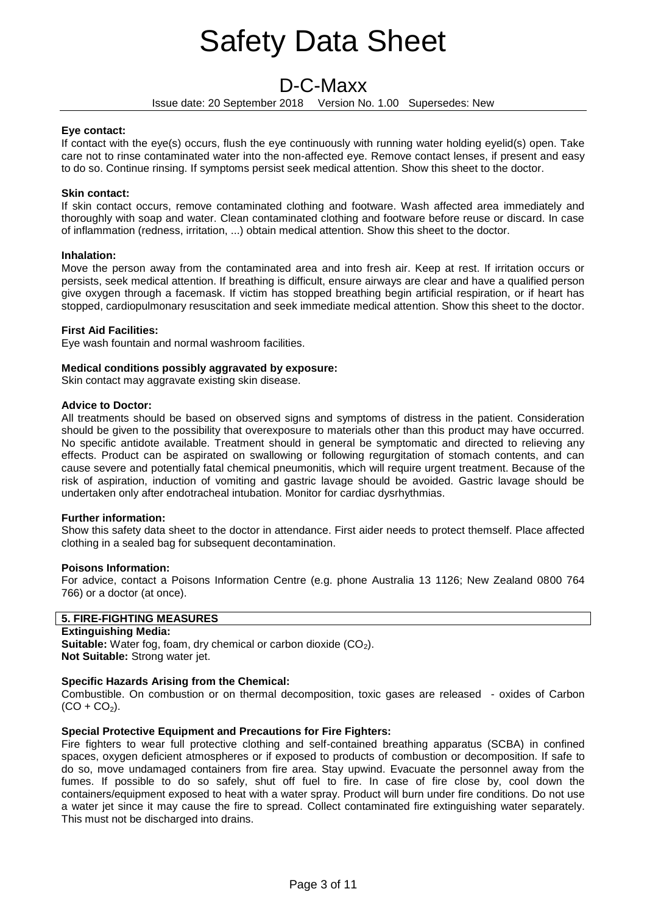# D-C-Maxx

Issue date: 20 September 2018 Version No. 1.00 Supersedes: New

# **Eye contact:**

If contact with the eye(s) occurs, flush the eye continuously with running water holding eyelid(s) open. Take care not to rinse contaminated water into the non-affected eye. Remove contact lenses, if present and easy to do so. Continue rinsing. If symptoms persist seek medical attention. Show this sheet to the doctor.

# **Skin contact:**

If skin contact occurs, remove contaminated clothing and footware. Wash affected area immediately and thoroughly with soap and water. Clean contaminated clothing and footware before reuse or discard. In case of inflammation (redness, irritation, ...) obtain medical attention. Show this sheet to the doctor.

# **Inhalation:**

Move the person away from the contaminated area and into fresh air. Keep at rest. If irritation occurs or persists, seek medical attention. If breathing is difficult, ensure airways are clear and have a qualified person give oxygen through a facemask. If victim has stopped breathing begin artificial respiration, or if heart has stopped, cardiopulmonary resuscitation and seek immediate medical attention. Show this sheet to the doctor.

# **First Aid Facilities:**

Eye wash fountain and normal washroom facilities.

# **Medical conditions possibly aggravated by exposure:**

Skin contact may aggravate existing skin disease.

# **Advice to Doctor:**

All treatments should be based on observed signs and symptoms of distress in the patient. Consideration should be given to the possibility that overexposure to materials other than this product may have occurred. No specific antidote available. Treatment should in general be symptomatic and directed to relieving any effects. Product can be aspirated on swallowing or following regurgitation of stomach contents, and can cause severe and potentially fatal chemical pneumonitis, which will require urgent treatment. Because of the risk of aspiration, induction of vomiting and gastric lavage should be avoided. Gastric lavage should be undertaken only after endotracheal intubation. Monitor for cardiac dysrhythmias.

# **Further information:**

Show this safety data sheet to the doctor in attendance. First aider needs to protect themself. Place affected clothing in a sealed bag for subsequent decontamination.

# **Poisons Information:**

For advice, contact a Poisons Information Centre (e.g. phone Australia 13 1126; New Zealand 0800 764 766) or a doctor (at once).

# **5. FIRE-FIGHTING MEASURES**

# **Extinguishing Media:**

**Suitable:** Water fog, foam, dry chemical or carbon dioxide (CO<sub>2</sub>). **Not Suitable:** Strong water jet.

# **Specific Hazards Arising from the Chemical:**

Combustible. On combustion or on thermal decomposition, toxic gases are released - oxides of Carbon  $(CO + CO<sub>2</sub>)$ .

# **Special Protective Equipment and Precautions for Fire Fighters:**

Fire fighters to wear full protective clothing and self-contained breathing apparatus (SCBA) in confined spaces, oxygen deficient atmospheres or if exposed to products of combustion or decomposition. If safe to do so, move undamaged containers from fire area. Stay upwind. Evacuate the personnel away from the fumes. If possible to do so safely, shut off fuel to fire. In case of fire close by, cool down the containers/equipment exposed to heat with a water spray. Product will burn under fire conditions. Do not use a water jet since it may cause the fire to spread. Collect contaminated fire extinguishing water separately. This must not be discharged into drains.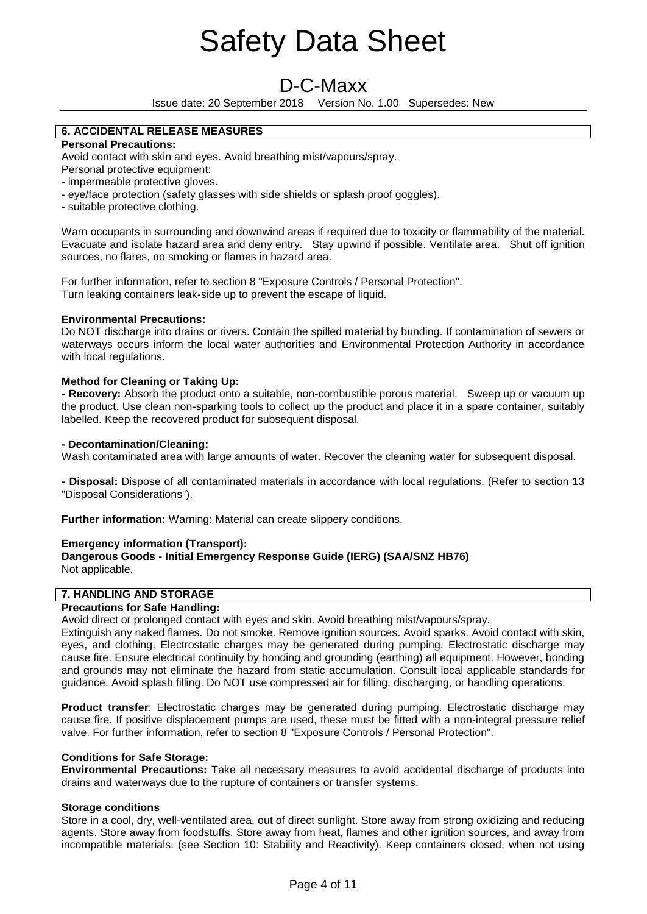# D-C-Maxx

Issue date: 20 September 2018 Version No. 1.00 Supersedes: New

# **6. ACCIDENTAL RELEASE MEASURES**

# **Personal Precautions:**

Avoid contact with skin and eyes. Avoid breathing mist/vapours/spray.

Personal protective equipment:

- impermeable protective gloves.
- eye/face protection (safety glasses with side shields or splash proof goggles).
- suitable protective clothing.

Warn occupants in surrounding and downwind areas if required due to toxicity or flammability of the material. Evacuate and isolate hazard area and deny entry. Stay upwind if possible. Ventilate area. Shut off ignition sources, no flares, no smoking or flames in hazard area.

For further information, refer to section 8 "Exposure Controls / Personal Protection". Turn leaking containers leak-side up to prevent the escape of liquid.

# **Environmental Precautions:**

Do NOT discharge into drains or rivers. Contain the spilled material by bunding. If contamination of sewers or waterways occurs inform the local water authorities and Environmental Protection Authority in accordance with local regulations.

# **Method for Cleaning or Taking Up:**

**- Recovery:** Absorb the product onto a suitable, non-combustible porous material. Sweep up or vacuum up the product. Use clean non-sparking tools to collect up the product and place it in a spare container, suitably labelled. Keep the recovered product for subsequent disposal.

# **- Decontamination/Cleaning:**

Wash contaminated area with large amounts of water. Recover the cleaning water for subsequent disposal.

**- Disposal:** Dispose of all contaminated materials in accordance with local regulations. (Refer to section 13 "Disposal Considerations").

**Further information:** Warning: Material can create slippery conditions.

# **Emergency information (Transport):**

**Dangerous Goods - Initial Emergency Response Guide (IERG) (SAA/SNZ HB76)** Not applicable.

# **7. HANDLING AND STORAGE**

# **Precautions for Safe Handling:**

Avoid direct or prolonged contact with eyes and skin. Avoid breathing mist/vapours/spray.

Extinguish any naked flames. Do not smoke. Remove ignition sources. Avoid sparks. Avoid contact with skin, eyes, and clothing. Electrostatic charges may be generated during pumping. Electrostatic discharge may cause fire. Ensure electrical continuity by bonding and grounding (earthing) all equipment. However, bonding and grounds may not eliminate the hazard from static accumulation. Consult local applicable standards for guidance. Avoid splash filling. Do NOT use compressed air for filling, discharging, or handling operations.

**Product transfer**: Electrostatic charges may be generated during pumping. Electrostatic discharge may cause fire. If positive displacement pumps are used, these must be fitted with a non-integral pressure relief valve. For further information, refer to section 8 "Exposure Controls / Personal Protection".

# **Conditions for Safe Storage:**

**Environmental Precautions:** Take all necessary measures to avoid accidental discharge of products into drains and waterways due to the rupture of containers or transfer systems.

# **Storage conditions**

Store in a cool, dry, well-ventilated area, out of direct sunlight. Store away from strong oxidizing and reducing agents. Store away from foodstuffs. Store away from heat, flames and other ignition sources, and away from incompatible materials. (see Section 10: Stability and Reactivity). Keep containers closed, when not using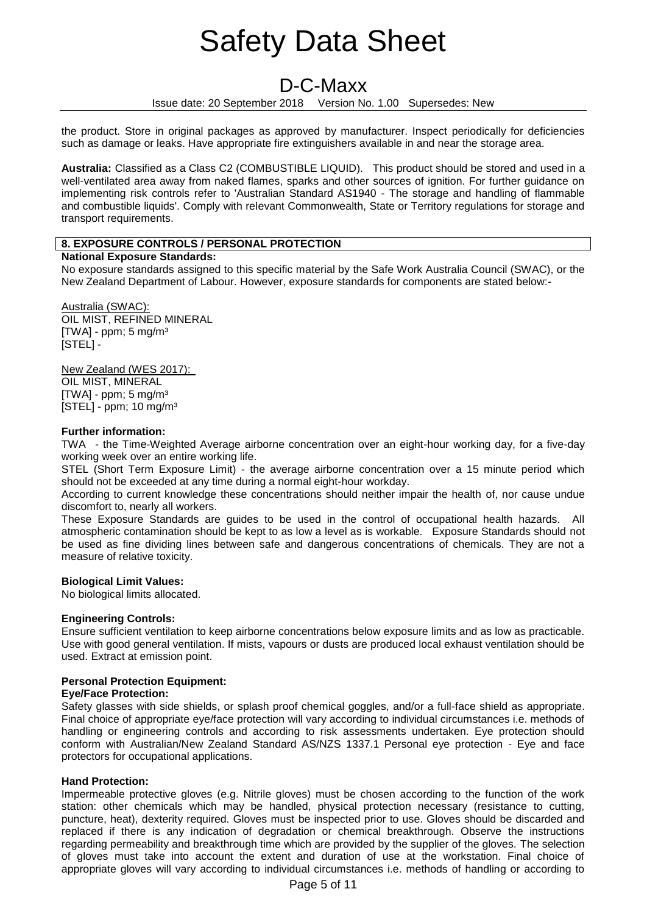# D-C-Maxx

Issue date: 20 September 2018 Version No. 1.00 Supersedes: New

the product. Store in original packages as approved by manufacturer. Inspect periodically for deficiencies such as damage or leaks. Have appropriate fire extinguishers available in and near the storage area.

**Australia:** Classified as a Class C2 (COMBUSTIBLE LIQUID). This product should be stored and used in a well-ventilated area away from naked flames, sparks and other sources of ignition. For further guidance on implementing risk controls refer to 'Australian Standard AS1940 - The storage and handling of flammable and combustible liquids'. Comply with relevant Commonwealth, State or Territory regulations for storage and transport requirements.

# **8. EXPOSURE CONTROLS / PERSONAL PROTECTION**

# **National Exposure Standards:**

No exposure standards assigned to this specific material by the Safe Work Australia Council (SWAC), or the New Zealand Department of Labour. However, exposure standards for components are stated below:-

Australia (SWAC): OIL MIST, REFINED MINERAL  $[TWA]$  - ppm; 5 mg/m<sup>3</sup> [STEL] -

New Zealand (WES 2017): OIL MIST, MINERAL  $[TWA]$  - ppm; 5 mg/m<sup>3</sup> [STEL] - ppm; 10 mg/m³

# **Further information:**

TWA - the Time-Weighted Average airborne concentration over an eight-hour working day, for a five-day working week over an entire working life.

STEL (Short Term Exposure Limit) - the average airborne concentration over a 15 minute period which should not be exceeded at any time during a normal eight-hour workday.

According to current knowledge these concentrations should neither impair the health of, nor cause undue discomfort to, nearly all workers.

These Exposure Standards are guides to be used in the control of occupational health hazards. All atmospheric contamination should be kept to as low a level as is workable. Exposure Standards should not be used as fine dividing lines between safe and dangerous concentrations of chemicals. They are not a measure of relative toxicity.

# **Biological Limit Values:**

No biological limits allocated.

# **Engineering Controls:**

Ensure sufficient ventilation to keep airborne concentrations below exposure limits and as low as practicable. Use with good general ventilation. If mists, vapours or dusts are produced local exhaust ventilation should be used. Extract at emission point.

# **Personal Protection Equipment:**

# **Eye/Face Protection:**

Safety glasses with side shields, or splash proof chemical goggles, and/or a full-face shield as appropriate. Final choice of appropriate eye/face protection will vary according to individual circumstances i.e. methods of handling or engineering controls and according to risk assessments undertaken. Eye protection should conform with Australian/New Zealand Standard AS/NZS 1337.1 Personal eye protection - Eye and face protectors for occupational applications.

# **Hand Protection:**

Impermeable protective gloves (e.g. Nitrile gloves) must be chosen according to the function of the work station: other chemicals which may be handled, physical protection necessary (resistance to cutting, puncture, heat), dexterity required. Gloves must be inspected prior to use. Gloves should be discarded and replaced if there is any indication of degradation or chemical breakthrough. Observe the instructions regarding permeability and breakthrough time which are provided by the supplier of the gloves. The selection of gloves must take into account the extent and duration of use at the workstation. Final choice of appropriate gloves will vary according to individual circumstances i.e. methods of handling or according to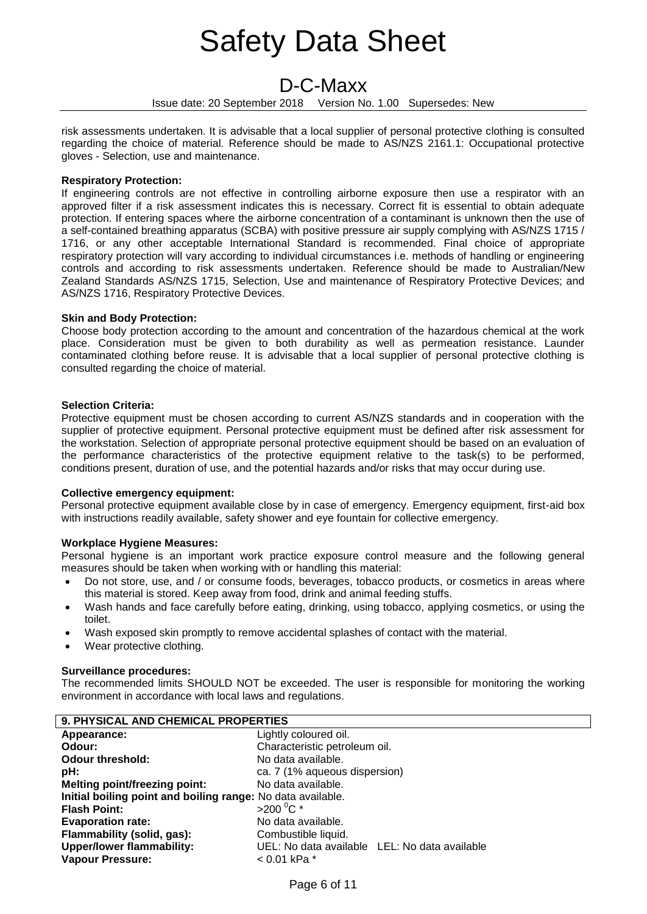# D-C-Maxx

Issue date: 20 September 2018 Version No. 1.00 Supersedes: New

risk assessments undertaken. It is advisable that a local supplier of personal protective clothing is consulted regarding the choice of material. Reference should be made to AS/NZS 2161.1: Occupational protective gloves - Selection, use and maintenance.

# **Respiratory Protection:**

If engineering controls are not effective in controlling airborne exposure then use a respirator with an approved filter if a risk assessment indicates this is necessary. Correct fit is essential to obtain adequate protection. If entering spaces where the airborne concentration of a contaminant is unknown then the use of a self-contained breathing apparatus (SCBA) with positive pressure air supply complying with AS/NZS 1715 / 1716, or any other acceptable International Standard is recommended. Final choice of appropriate respiratory protection will vary according to individual circumstances i.e. methods of handling or engineering controls and according to risk assessments undertaken. Reference should be made to Australian/New Zealand Standards AS/NZS 1715, Selection, Use and maintenance of Respiratory Protective Devices; and AS/NZS 1716, Respiratory Protective Devices.

# **Skin and Body Protection:**

Choose body protection according to the amount and concentration of the hazardous chemical at the work place. Consideration must be given to both durability as well as permeation resistance. Launder contaminated clothing before reuse. It is advisable that a local supplier of personal protective clothing is consulted regarding the choice of material.

# **Selection Criteria:**

Protective equipment must be chosen according to current AS/NZS standards and in cooperation with the supplier of protective equipment. Personal protective equipment must be defined after risk assessment for the workstation. Selection of appropriate personal protective equipment should be based on an evaluation of the performance characteristics of the protective equipment relative to the task(s) to be performed, conditions present, duration of use, and the potential hazards and/or risks that may occur during use.

# **Collective emergency equipment:**

Personal protective equipment available close by in case of emergency. Emergency equipment, first-aid box with instructions readily available, safety shower and eye fountain for collective emergency.

# **Workplace Hygiene Measures:**

Personal hygiene is an important work practice exposure control measure and the following general measures should be taken when working with or handling this material:

- Do not store, use, and / or consume foods, beverages, tobacco products, or cosmetics in areas where this material is stored. Keep away from food, drink and animal feeding stuffs.
- Wash hands and face carefully before eating, drinking, using tobacco, applying cosmetics, or using the toilet.
- Wash exposed skin promptly to remove accidental splashes of contact with the material.
- Wear protective clothing.

# **Surveillance procedures:**

The recommended limits SHOULD NOT be exceeded. The user is responsible for monitoring the working environment in accordance with local laws and regulations.

| 9. PHYSICAL AND CHEMICAL PROPERTIES                         |                                               |  |
|-------------------------------------------------------------|-----------------------------------------------|--|
| Appearance:                                                 | Lightly coloured oil.                         |  |
| Odour:                                                      | Characteristic petroleum oil.                 |  |
| <b>Odour threshold:</b>                                     | No data available.                            |  |
| pH:                                                         | ca. 7 (1% aqueous dispersion)                 |  |
| <b>Melting point/freezing point:</b>                        | No data available.                            |  |
| Initial boiling point and boiling range: No data available. |                                               |  |
| <b>Flash Point:</b>                                         | $>200^{\circ}$ C *                            |  |
| <b>Evaporation rate:</b>                                    | No data available.                            |  |
| Flammability (solid, gas):                                  | Combustible liquid.                           |  |
| <b>Upper/lower flammability:</b>                            | UEL: No data available LEL: No data available |  |
| <b>Vapour Pressure:</b>                                     | < 0.01 kPa *                                  |  |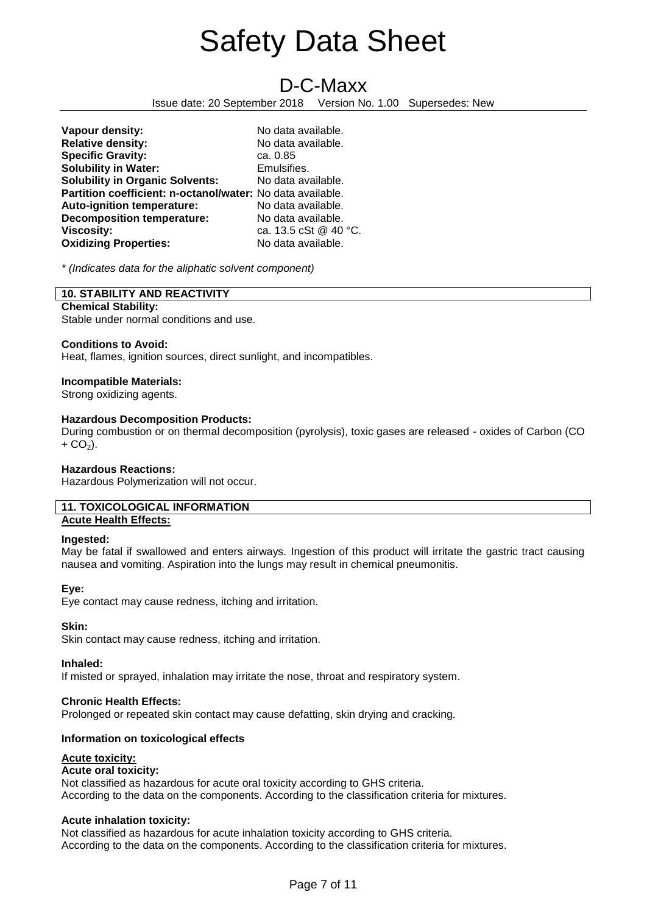**D-C-Maxx**<br>Issue date: 20 September 2018 Version No Version No. 1.00 Supersedes: New

| Vapour density:                                            | No data available.    |
|------------------------------------------------------------|-----------------------|
| <b>Relative density:</b>                                   | No data available.    |
| <b>Specific Gravity:</b>                                   | ca. 0.85              |
| <b>Solubility in Water:</b>                                | Emulsifies.           |
| <b>Solubility in Organic Solvents:</b>                     | No data available.    |
| Partition coefficient: n-octanol/water: No data available. |                       |
| Auto-ignition temperature:                                 | No data available.    |
| <b>Decomposition temperature:</b>                          | No data available.    |
| <b>Viscosity:</b>                                          | ca. 13.5 cSt @ 40 °C. |
| <b>Oxidizing Properties:</b>                               | No data available.    |

*\* (Indicates data for the aliphatic solvent component)*

# **10. STABILITY AND REACTIVITY**

## **Chemical Stability:**

Stable under normal conditions and use.

### **Conditions to Avoid:**

Heat, flames, ignition sources, direct sunlight, and incompatibles.

### **Incompatible Materials:**

Strong oxidizing agents.

### **Hazardous Decomposition Products:**

During combustion or on thermal decomposition (pyrolysis), toxic gases are released - oxides of Carbon (CO  $+$  CO<sub>2</sub>).

### **Hazardous Reactions:**

Hazardous Polymerization will not occur.

## **11. TOXICOLOGICAL INFORMATION Acute Health Effects:**

### **Ingested:**

May be fatal if swallowed and enters airways. Ingestion of this product will irritate the gastric tract causing nausea and vomiting. Aspiration into the lungs may result in chemical pneumonitis.

### **Eye:**

Eye contact may cause redness, itching and irritation.

### **Skin:**

Skin contact may cause redness, itching and irritation.

**Inhaled:**

If misted or sprayed, inhalation may irritate the nose, throat and respiratory system.

### **Chronic Health Effects:**

Prolonged or repeated skin contact may cause defatting, skin drying and cracking.

# **Information on toxicological effects**

### **Acute toxicity:**

# **Acute oral toxicity:**

Not classified as hazardous for acute oral toxicity according to GHS criteria. According to the data on the components. According to the classification criteria for mixtures.

# **Acute inhalation toxicity:**

Not classified as hazardous for acute inhalation toxicity according to GHS criteria. According to the data on the components. According to the classification criteria for mixtures.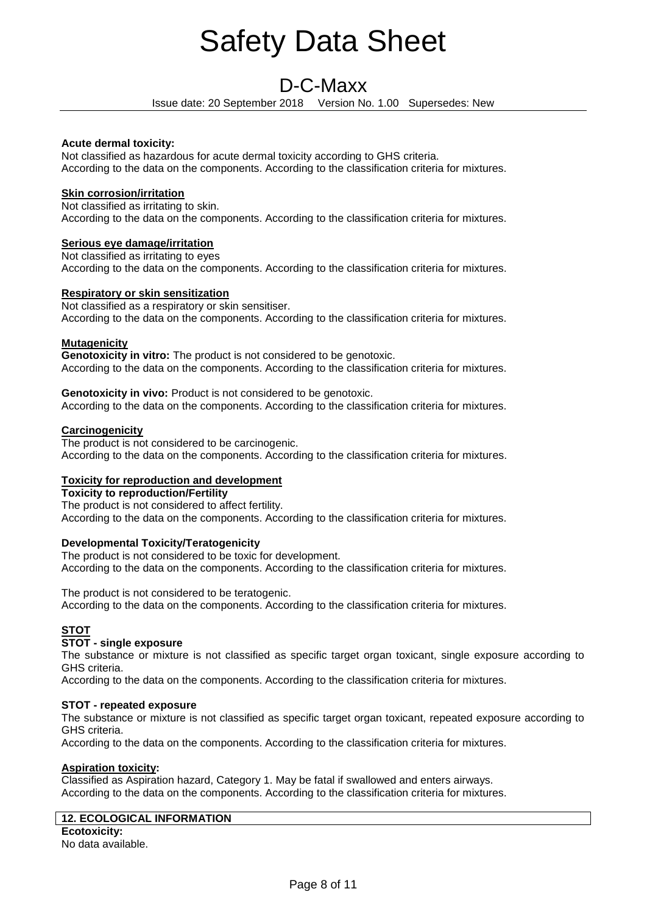# D-C-Maxx

Issue date: 20 September 2018 Version No. 1.00 Supersedes: New

# **Acute dermal toxicity:**

Not classified as hazardous for acute dermal toxicity according to GHS criteria. According to the data on the components. According to the classification criteria for mixtures.

# **Skin corrosion/irritation**

Not classified as irritating to skin. According to the data on the components. According to the classification criteria for mixtures.

# **Serious eye damage/irritation**

Not classified as irritating to eyes According to the data on the components. According to the classification criteria for mixtures.

# **Respiratory or skin sensitization**

Not classified as a respiratory or skin sensitiser. According to the data on the components. According to the classification criteria for mixtures.

# **Mutagenicity**

**Genotoxicity in vitro:** The product is not considered to be genotoxic. According to the data on the components. According to the classification criteria for mixtures.

**Genotoxicity in vivo:** Product is not considered to be genotoxic. According to the data on the components. According to the classification criteria for mixtures.

# **Carcinogenicity**

The product is not considered to be carcinogenic. According to the data on the components. According to the classification criteria for mixtures.

# **Toxicity for reproduction and development**

**Toxicity to reproduction/Fertility**  The product is not considered to affect fertility.

According to the data on the components. According to the classification criteria for mixtures.

# **Developmental Toxicity/Teratogenicity**

The product is not considered to be toxic for development. According to the data on the components. According to the classification criteria for mixtures.

The product is not considered to be teratogenic. According to the data on the components. According to the classification criteria for mixtures.

# **STOT**

# **STOT - single exposure**

The substance or mixture is not classified as specific target organ toxicant, single exposure according to GHS criteria.

According to the data on the components. According to the classification criteria for mixtures.

# **STOT - repeated exposure**

The substance or mixture is not classified as specific target organ toxicant, repeated exposure according to GHS criteria.

According to the data on the components. According to the classification criteria for mixtures.

# **Aspiration toxicity:**

Classified as Aspiration hazard, Category 1. May be fatal if swallowed and enters airways. According to the data on the components. According to the classification criteria for mixtures.

# **12. ECOLOGICAL INFORMATION**

**Ecotoxicity:**  No data available.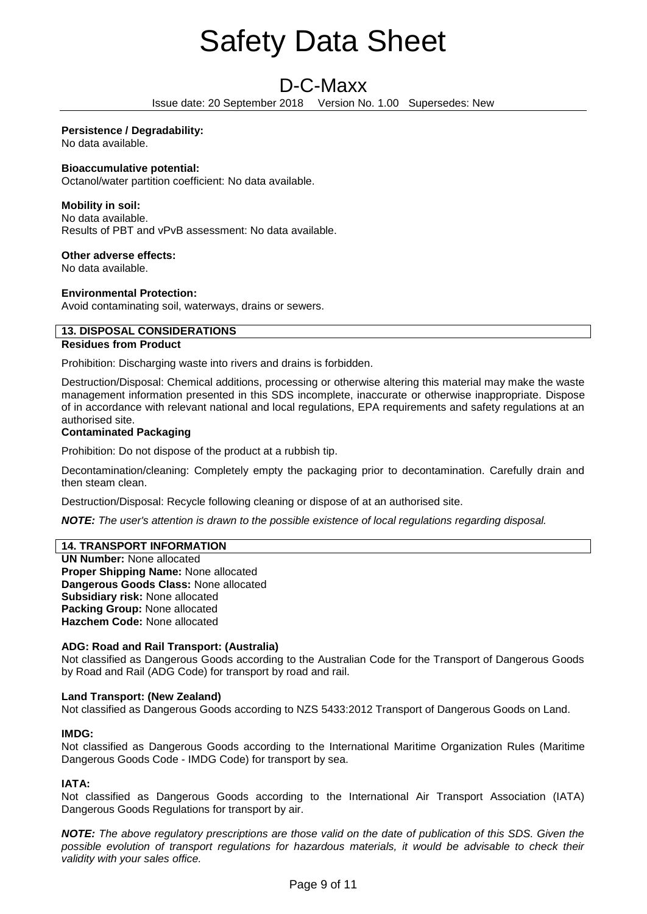# D-C-Maxx

Issue date: 20 September 2018 Version No. 1.00 Supersedes: New

# **Persistence / Degradability:**

No data available.

# **Bioaccumulative potential:**

Octanol/water partition coefficient: No data available.

# **Mobility in soil:**

No data available. Results of PBT and vPvB assessment: No data available.

# **Other adverse effects:**

No data available.

# **Environmental Protection:**

Avoid contaminating soil, waterways, drains or sewers.

# **13. DISPOSAL CONSIDERATIONS**

# **Residues from Product**

Prohibition: Discharging waste into rivers and drains is forbidden.

Destruction/Disposal: Chemical additions, processing or otherwise altering this material may make the waste management information presented in this SDS incomplete, inaccurate or otherwise inappropriate. Dispose of in accordance with relevant national and local regulations, EPA requirements and safety regulations at an authorised site.

# **Contaminated Packaging**

Prohibition: Do not dispose of the product at a rubbish tip.

Decontamination/cleaning: Completely empty the packaging prior to decontamination. Carefully drain and then steam clean.

Destruction/Disposal: Recycle following cleaning or dispose of at an authorised site.

*NOTE: The user's attention is drawn to the possible existence of local regulations regarding disposal.*

# **14. TRANSPORT INFORMATION**

**UN Number:** None allocated **Proper Shipping Name:** None allocated **Dangerous Goods Class:** None allocated **Subsidiary risk:** None allocated **Packing Group:** None allocated **Hazchem Code:** None allocated

# **ADG: Road and Rail Transport: (Australia)**

Not classified as Dangerous Goods according to the Australian Code for the Transport of Dangerous Goods by Road and Rail (ADG Code) for transport by road and rail.

# **Land Transport: (New Zealand)**

Not classified as Dangerous Goods according to NZS 5433:2012 Transport of Dangerous Goods on Land.

# **IMDG:**

Not classified as Dangerous Goods according to the International Maritime Organization Rules (Maritime Dangerous Goods Code - IMDG Code) for transport by sea.

# **IATA:**

Not classified as Dangerous Goods according to the International Air Transport Association (IATA) Dangerous Goods Regulations for transport by air.

*NOTE: The above regulatory prescriptions are those valid on the date of publication of this SDS. Given the possible evolution of transport regulations for hazardous materials, it would be advisable to check their validity with your sales office.*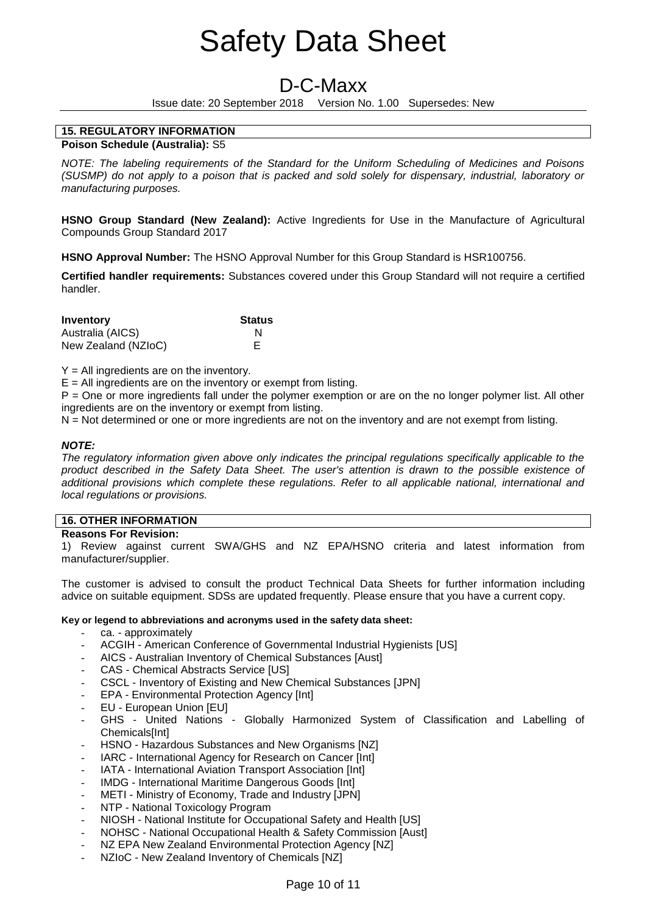# D-C-Maxx

Issue date: 20 September 2018 Version No. 1.00 Supersedes: New

## **15. REGULATORY INFORMATION Poison Schedule (Australia):** S5

*NOTE: The labeling requirements of the Standard for the Uniform Scheduling of Medicines and Poisons (SUSMP) do not apply to a poison that is packed and sold solely for dispensary, industrial, laboratory or manufacturing purposes.*

**HSNO Group Standard (New Zealand):** Active Ingredients for Use in the Manufacture of Agricultural Compounds Group Standard 2017

**HSNO Approval Number:** The HSNO Approval Number for this Group Standard is HSR100756.

**Certified handler requirements:** Substances covered under this Group Standard will not require a certified handler.

| Inventory           | <b>Status</b> |
|---------------------|---------------|
| Australia (AICS)    | N             |
| New Zealand (NZIoC) |               |

 $Y = All$  ingredients are on the inventory.

 $E =$  All ingredients are on the inventory or exempt from listing.

P = One or more ingredients fall under the polymer exemption or are on the no longer polymer list. All other ingredients are on the inventory or exempt from listing.

N = Not determined or one or more ingredients are not on the inventory and are not exempt from listing.

# *NOTE:*

*The regulatory information given above only indicates the principal regulations specifically applicable to the product described in the Safety Data Sheet. The user's attention is drawn to the possible existence of additional provisions which complete these regulations. Refer to all applicable national, international and local regulations or provisions.*

# **16. OTHER INFORMATION**

# **Reasons For Revision:**

1) Review against current SWA/GHS and NZ EPA/HSNO criteria and latest information from manufacturer/supplier.

The customer is advised to consult the product Technical Data Sheets for further information including advice on suitable equipment. SDSs are updated frequently. Please ensure that you have a current copy.

# **Key or legend to abbreviations and acronyms used in the safety data sheet:**

- ca. approximately
- ACGIH American Conference of Governmental Industrial Hygienists [US]
- AICS Australian Inventory of Chemical Substances [Aust]
- CAS Chemical Abstracts Service [US]
- CSCL Inventory of Existing and New Chemical Substances [JPN]
- EPA Environmental Protection Agency [Int]
- EU European Union [EU]
- GHS United Nations Globally Harmonized System of Classification and Labelling of Chemicals[Int]
- HSNO Hazardous Substances and New Organisms [NZ]
- IARC International Agency for Research on Cancer [Int]
- IATA International Aviation Transport Association [Int]
- IMDG International Maritime Dangerous Goods [Int]
- METI Ministry of Economy, Trade and Industry [JPN]
- NTP National Toxicology Program
- NIOSH National Institute for Occupational Safety and Health [US]
- NOHSC National Occupational Health & Safety Commission [Aust]
- NZ EPA New Zealand Environmental Protection Agency [NZ]
- NZIoC New Zealand Inventory of Chemicals [NZ]